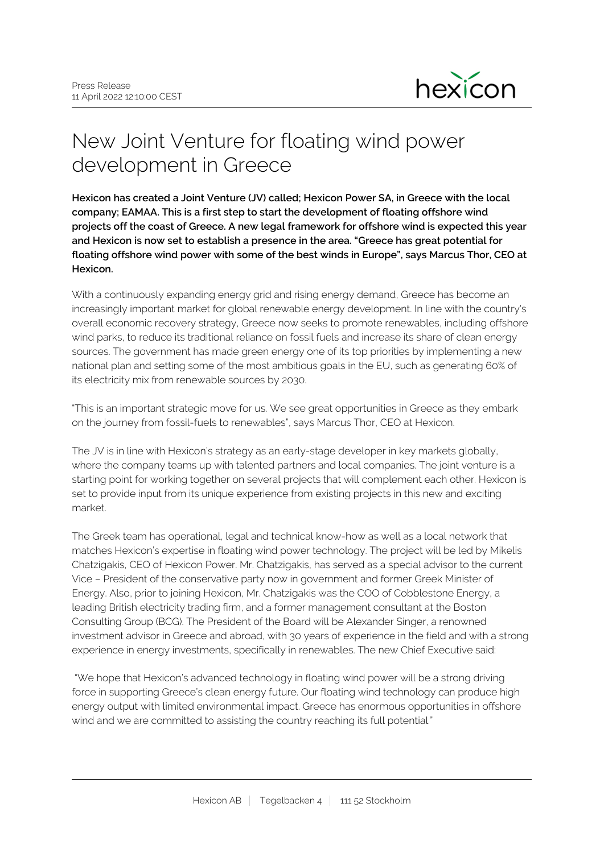

## New Joint Venture for floating wind power development in Greece

**Hexicon has created a Joint Venture (JV) called; Hexicon Power SA, in Greece with the local company; EAMAA. This is a first step to start the development of floating offshore wind projects off the coast of Greece. A new legal framework for offshore wind is expected this year and Hexicon is now set to establish a presence in the area. "Greece has great potential for floating offshore wind power with some of the best winds in Europe", says Marcus Thor, CEO at Hexicon.**

With a continuously expanding energy grid and rising energy demand, Greece has become an increasingly important market for global renewable energy development. In line with the country's overall economic recovery strategy, Greece now seeks to promote renewables, including offshore wind parks, to reduce its traditional reliance on fossil fuels and increase its share of clean energy sources. The government has made green energy one of its top priorities by implementing a new national plan and setting some of the most ambitious goals in the EU, such as generating 60% of its electricity mix from renewable sources by 2030.

"This is an important strategic move for us. We see great opportunities in Greece as they embark on the journey from fossil-fuels to renewables", says Marcus Thor, CEO at Hexicon.

The JV is in line with Hexicon's strategy as an early-stage developer in key markets globally, where the company teams up with talented partners and local companies. The joint venture is a starting point for working together on several projects that will complement each other. Hexicon is set to provide input from its unique experience from existing projects in this new and exciting market.

The Greek team has operational, legal and technical know-how as well as a local network that matches Hexicon's expertise in floating wind power technology. The project will be led by Mikelis Chatzigakis, CEO of Hexicon Power. Mr. Chatzigakis, has served as a special advisor to the current Vice – President of the conservative party now in government and former Greek Minister of Energy. Also, prior to joining Hexicon, Mr. Chatzigakis was the COO of Cobblestone Energy, a leading British electricity trading firm, and a former management consultant at the Boston Consulting Group (BCG). The President of the Board will be Alexander Singer, a renowned investment advisor in Greece and abroad, with 30 years of experience in the field and with a strong experience in energy investments, specifically in renewables. The new Chief Executive said:

 "We hope that Hexicon's advanced technology in floating wind power will be a strong driving force in supporting Greece's clean energy future. Our floating wind technology can produce high energy output with limited environmental impact. Greece has enormous opportunities in offshore wind and we are committed to assisting the country reaching its full potential."